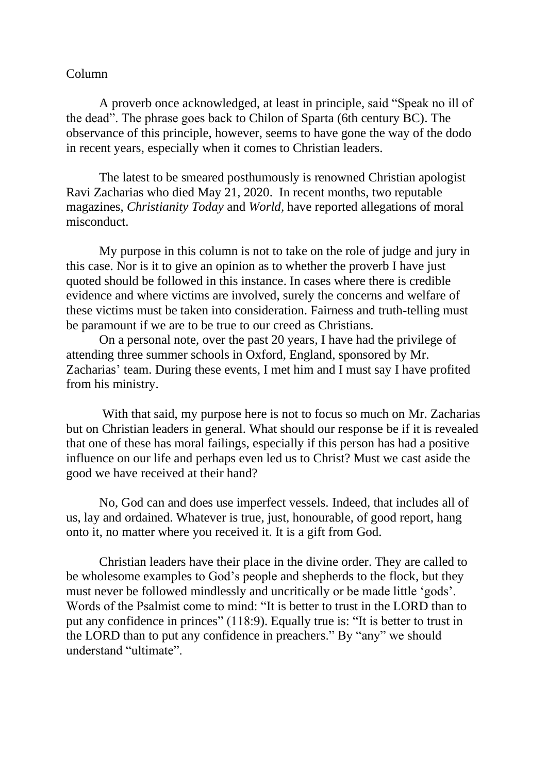## Column

A proverb once acknowledged, at least in principle, said "Speak no ill of the dead". The phrase goes back to Chilon of Sparta (6th century BC). The observance of this principle, however, seems to have gone the way of the dodo in recent years, especially when it comes to Christian leaders.

The latest to be smeared posthumously is renowned Christian apologist Ravi Zacharias who died May 21, 2020. In recent months, two reputable magazines, *Christianity Today* and *World,* have reported allegations of moral misconduct.

My purpose in this column is not to take on the role of judge and jury in this case. Nor is it to give an opinion as to whether the proverb I have just quoted should be followed in this instance. In cases where there is credible evidence and where victims are involved, surely the concerns and welfare of these victims must be taken into consideration. Fairness and truth-telling must be paramount if we are to be true to our creed as Christians.

On a personal note, over the past 20 years, I have had the privilege of attending three summer schools in Oxford, England, sponsored by Mr. Zacharias' team. During these events, I met him and I must say I have profited from his ministry.

With that said, my purpose here is not to focus so much on Mr. Zacharias but on Christian leaders in general. What should our response be if it is revealed that one of these has moral failings, especially if this person has had a positive influence on our life and perhaps even led us to Christ? Must we cast aside the good we have received at their hand?

No, God can and does use imperfect vessels. Indeed, that includes all of us, lay and ordained. Whatever is true, just, honourable, of good report, hang onto it, no matter where you received it. It is a gift from God.

Christian leaders have their place in the divine order. They are called to be wholesome examples to God's people and shepherds to the flock, but they must never be followed mindlessly and uncritically or be made little 'gods'. Words of the Psalmist come to mind: "It is better to trust in the LORD than to put any confidence in princes" (118:9). Equally true is: "It is better to trust in the LORD than to put any confidence in preachers." By "any" we should understand "ultimate".